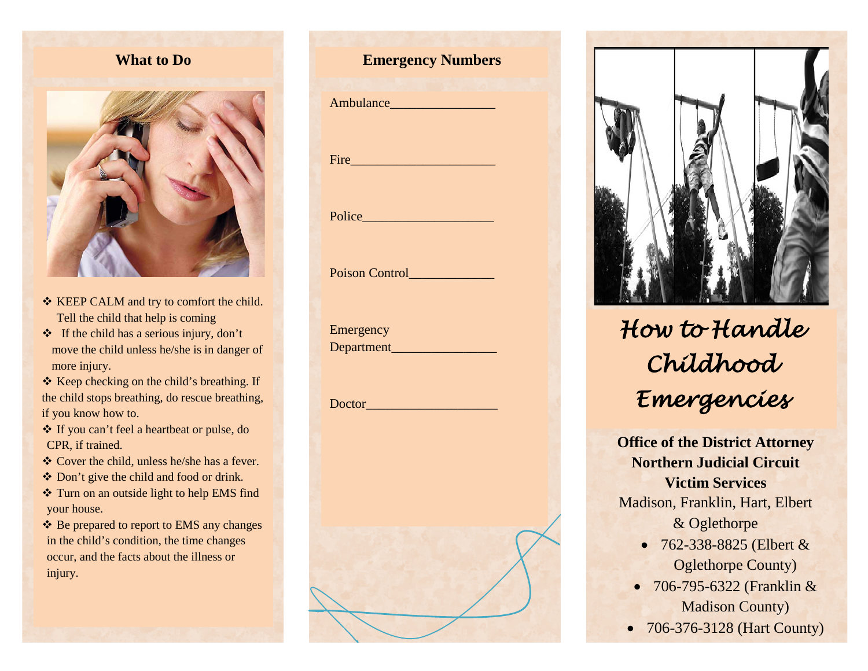#### **What to Do**



- \* KEEP CALM and try to comfort the child. Tell the child that help is coming
- $\div$  If the child has a serious injury, don't move the child unless he/she is in danger of more injury.
- $\triangle$  Keep checking on the child's breathing. If the child stops breathing, do rescue breathing, if you know how to.
- If you can't feel a heartbeat or pulse, do CPR, if trained.
- Cover the child, unless he/she has a fever.
- Don't give the child and food or drink.
- \* Turn on an outside light to help EMS find your house.
- ❖ Be prepared to report to EMS any changes in the child's condition, the time changes occur, and the facts about the illness or injury.

# **Emergency Numbers** Ambulance Fire the state of the state of the state of the state of the state of the state of the state of the state of the state of the state of the state of the state of the state of the state of the state of the state of the state Police\_\_\_\_\_\_\_\_\_\_\_\_\_\_\_\_\_\_\_\_

Poison Control

Emergency Department\_\_\_\_\_\_\_\_\_\_\_\_\_\_\_\_

Doctor\_\_\_\_\_\_\_\_\_\_\_\_\_\_\_\_\_\_\_\_



# *How to Handle Childhood Emergencies*

**Office of the District Attorney Northern Judicial Circuit Victim Services** Madison, Franklin, Hart, Elbert & Oglethorpe

- 762-338-8825 (Elbert & Oglethorpe County)
- 706-795-6322 (Franklin & Madison County)
- 706-376-3128 (Hart County)